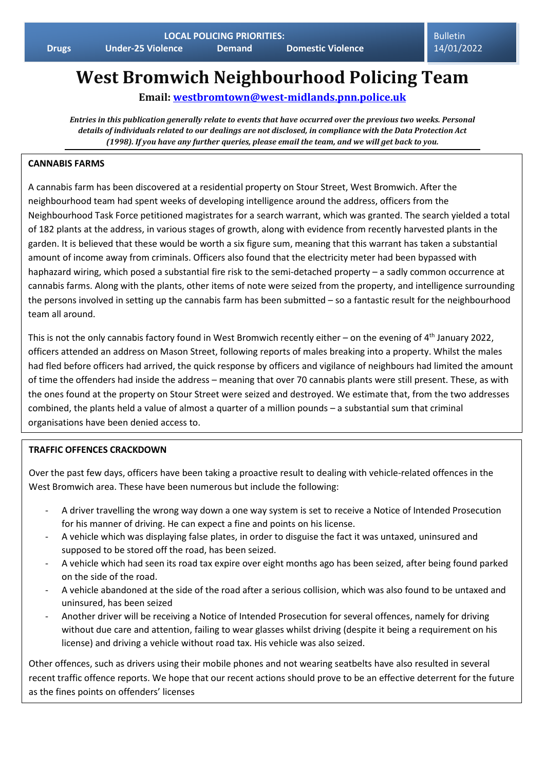**Bulletin** 14/01/2022

# **West Bromwich Neighbourhood Policing Team**

**Email: [westbromtown@west-midlands.pnn.police.uk](mailto:westbromtown@west-midlands.pnn.police.uk)**

*Entries in this publication generally relate to events that have occurred over the previous two weeks. Personal details of individuals related to our dealings are not disclosed, in compliance with the Data Protection Act (1998). If you have any further queries, please email the team, and we will get back to you.*

#### **CANNABIS FARMS**

A cannabis farm has been discovered at a residential property on Stour Street, West Bromwich. After the neighbourhood team had spent weeks of developing intelligence around the address, officers from the Neighbourhood Task Force petitioned magistrates for a search warrant, which was granted. The search yielded a total of 182 plants at the address, in various stages of growth, along with evidence from recently harvested plants in the garden. It is believed that these would be worth a six figure sum, meaning that this warrant has taken a substantial amount of income away from criminals. Officers also found that the electricity meter had been bypassed with haphazard wiring, which posed a substantial fire risk to the semi-detached property – a sadly common occurrence at cannabis farms. Along with the plants, other items of note were seized from the property, and intelligence surrounding the persons involved in setting up the cannabis farm has been submitted – so a fantastic result for the neighbourhood team all around.

This is not the only cannabis factory found in West Bromwich recently either – on the evening of 4<sup>th</sup> January 2022, officers attended an address on Mason Street, following reports of males breaking into a property. Whilst the males had fled before officers had arrived, the quick response by officers and vigilance of neighbours had limited the amount of time the offenders had inside the address – meaning that over 70 cannabis plants were still present. These, as with the ones found at the property on Stour Street were seized and destroyed. We estimate that, from the two addresses combined, the plants held a value of almost a quarter of a million pounds – a substantial sum that criminal organisations have been denied access to.

#### **TRAFFIC OFFENCES CRACKDOWN**

Over the past few days, officers have been taking a proactive result to dealing with vehicle-related offences in the West Bromwich area. These have been numerous but include the following:

- A driver travelling the wrong way down a one way system is set to receive a Notice of Intended Prosecution for his manner of driving. He can expect a fine and points on his license.
- A vehicle which was displaying false plates, in order to disguise the fact it was untaxed, uninsured and supposed to be stored off the road, has been seized.
- A vehicle which had seen its road tax expire over eight months ago has been seized, after being found parked on the side of the road.
- A vehicle abandoned at the side of the road after a serious collision, which was also found to be untaxed and uninsured, has been seized
- Another driver will be receiving a Notice of Intended Prosecution for several offences, namely for driving without due care and attention, failing to wear glasses whilst driving (despite it being a requirement on his license) and driving a vehicle without road tax. His vehicle was also seized.

Other offences, such as drivers using their mobile phones and not wearing seatbelts have also resulted in several recent traffic offence reports. We hope that our recent actions should prove to be an effective deterrent for the future as the fines points on offenders' licenses